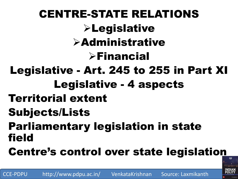CENTRE-STATE RELATIONS **ELegislative >Administrative**  $\triangleright$ Financial Legislative - Art. 245 to 255 in Part XI Legislative - 4 aspects Territorial extent Subjects/Lists Parliamentary legislation in state field Centre's control over state legislation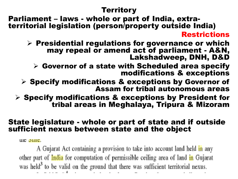#### **Territory**

Parliament – laws - whole or part of India, extraterritorial legislation (person/property outside India) Restrictions

 $\triangleright$  Presidential regulations for governance or which may repeal or amend act of parliament - A&N, Lakshadweep, DNH, D&D

 $\triangleright$  Governor of a state with Scheduled area specify modifications & exceptions

 $\triangleright$  Specify modifications & exceptions by Governor of Assam for tribal autonomous areas

 $\triangleright$  Specify modifications & exceptions by President for tribal areas in Meghalaya, Tripura & Mizoram

#### State legislature - whole or part of state and if outside sufficient nexus between state and the object

**LIKE STRIKE**.

A Gujarat Act containing a provision to take into account land held in any other part of *India* for computation of permissible ceiling area of land *in* Gujarat was held<sup>3</sup> to be valid on the ground that there was sufficient territorial nexus.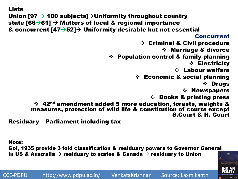```
Lists 
Union [97 \rightarrow 100 subjects]\rightarrowUniformity throughout country
state [66\rightarrow61] \rightarrow Matters of local & regional importance
& concurrent [47 \rightarrow 52] \rightarrow Uniformity desirable but not essential
                                                                  Concurrent
                                               Criminal & Civil procedure
                                                       Marriage & divorce
                                    Population control & family planning
                                                                 Electricity
                                                            Labour welfare
                                              Economic & social planning
                                                                      Drugs
                                                              \div Newspapers
                                                   Books & printing press
        ❖ 42<sup>nd</sup> amendment added 5 more education, forests, weights &
        measures, protection of wild life & constitution of courts except 
                                                          S.Court & H. Court
```
Residuary – Parliament including tax

Note: GoI, 1935 provide 3 fold classification & residuary powers to Governor General In US & Australia  $\rightarrow$  residuary to states & Canada  $\rightarrow$  residuary to Union

CCE-PDPU http://www.pdpu.ac.in/ VenkataKrishnan Source: Laxmikanth

FIFTH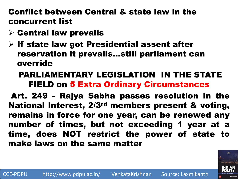### Conflict between Central & state law in the concurrent list

- $\triangleright$  Central law prevails
- $\triangleright$  If state law got Presidential assent after reservation it prevails…still parliament can override

### PARLIAMENTARY LEGISLATION IN THE STATE FIELD on 5 Extra Ordinary Circumstances

Art. 249 - Rajya Sabha passes resolution in the National Interest, 2/3rd members present & voting, remains in force for one year, can be renewed any number of times, but not exceeding 1 year at a time, does NOT restrict the power of state to make laws on the same matter

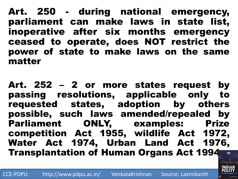Art. 250 - during national emergency, parliament can make laws in state list, inoperative after six months emergency ceased to operate, does NOT restrict the power of state to make laws on the same matter

Art. 252 – 2 or more states request by passing resolutions, applicable only to requested states, adoption by others possible, such laws amended/repealed by Parliament ONLY, examples: Prize competition Act 1955, wildlife Act 1972, Water Act 1974, Urban Land Act 1976, Transplantation of Human Organs Act 1994

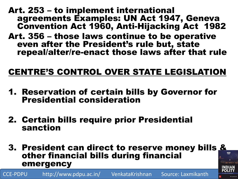#### Art. 253 – to implement international agreements Examples: UN Act 1947, Geneva Convention Act 1960, Anti-Hijacking Act 1982

Art. 356 – those laws continue to be operative even after the President's rule but, state repeal/alter/re-enact those laws after that rule

### CENTRE'S CONTROL OVER STATE LEGISLATION

- 1. Reservation of certain bills by Governor for Presidential consideration
- 2. Certain bills require prior Presidential sanction

CCE-PDPU http://www.pdpu.ac.in/ VenkataKrishnan Source: Laxmikanth

**3. President can direct to reserve money bills &** other financial bills during financial emergency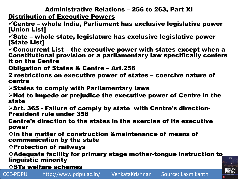#### Administrative Relations – 256 to 263, Part XI

Distribution of Executive Powers

 $\checkmark$  Centre – whole India, Parliament has exclusive legislative power [Union List]

 $\checkmark$ Sate – whole state, legislature has exclusive legislative power [State List]

 $\checkmark$  Concurrent List – the executive power with states except when a Constitutional provision or a parliamentary law specifically confers it on the Centre

Obligation of States & Centre – Art.256

2 restrictions on executive power of states – coercive nature of centre

 $\triangleright$  States to comply with Parliamentary laws

 $\triangleright$  Not to impede or prejudice the executive power of Centre in the state

Art. 365 - Failure of comply by state with Centre's direction-President rule under 356

Centre's direction to the states in the exercise of its executive power

 $\div$ In the matter of construction &maintenance of means of communication by the state

Protection of railways

Adequate facility for primary stage mother-tongue instruction to linguistic minority

*<b>☆STs welfare schemes* 

CCE-PDPU http://www.pdpu.ac.in/ VenkataKrishnan Source: Laxmikanth

FIFTH

**INDIAN<br>POLITY**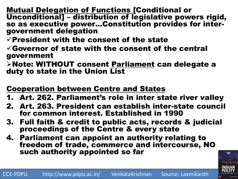Mutual Delegation of Functions [Conditional or Unconditional] – distribution of legislative powers rigid, so as executive power…Constitution provides for intergovernment delegation

 $\checkmark$  President with the consent of the state

 $\checkmark$  Governor of state with the consent of the central government

Note: WITHOUT consent Parliament can delegate a duty to state in the Union List

#### Cooperation between Centre and States

- 1. Art. 262. Parliament's role in inter state river valley
- 2. Art. 263. President can establish inter-state council for common interest. Established in 1990
- 3. Full faith & credit to public acts, records & judicial proceedings of the Centre & every state
- 4. Parliament can appoint an authority relating to freedom of trade, commerce and intercourse, NO such authority appointed so far

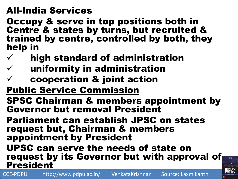## All-India Services

Occupy & serve in top positions both in Centre & states by turns, but recruited & trained by centre, controlled by both, they help in

- $\checkmark$  high standard of administration
- $\checkmark$  uniformity in administration
- $\checkmark$  cooperation & joint action
- Public Service Commission
- SPSC Chairman & members appointment by Governor but removal President
- Parliament can establish JPSC on states request but, Chairman & members appointment by President

UPSC can serve the needs of state on request by its Governor but with approval of **President** 

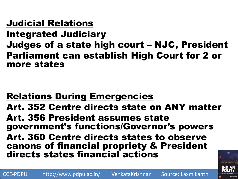## Judicial Relations

Integrated Judiciary

Judges of a state high court – NJC, President Parliament can establish High Court for 2 or more states

# Relations During Emergencies

Art. 352 Centre directs state on ANY matter Art. 356 President assumes state government's functions/Governor's powers Art. 360 Centre directs states to observe canons of financial propriety & President directs states financial actions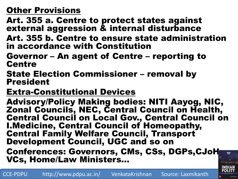## Other Provisions

Art. 355 a. Centre to protect states against external aggression & internal disturbance

- Art. 355 b. Centre to ensure state administration in accordance with Constitution
- Governor An agent of Centre reporting to **Centre**
- State Election Commissioner removal by President
- Extra-Constitutional Devices

Advisory/Policy Making bodies: NITI Aayog, NIC, Zonal Councils, NEC, Central Council on Health, Central Council on Local Gov., Central Council on I.Medicine, Central Council of Homeopathy, Central Family Welfare Council, Transport Development Council, UGC and so on Conferences: Governors, CMs, CSs, DGPs,CJoH, FIETH

VCs, Home/Law Ministers…

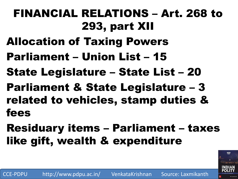# FINANCIAL RELATIONS – Art. 268 to 293, part XII

- Allocation of Taxing Powers
- Parliament Union List 15
- State Legislature State List 20
- Parliament & State Legislature 3 related to vehicles, stamp duties & fees
- Residuary items Parliament taxes like gift, wealth & expenditure

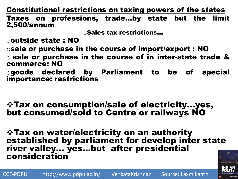Constitutional restrictions on taxing powers of the states

Taxes on professions, trade…by state but the limit 2,500/annum

oSales tax restrictions…

ooutside state : NO

osale or purchase in the course of import/export : NO

o sale or purchase in the course of in inter-state trade & commerce: NO

ogoods declared by Parliament to be of special importance: restrictions

Tax on consumption/sale of electricity…yes, but consumed/sold to Centre or railways NO

Tax on water/electricity on an authority established by parliament for develop inter state river valley… yes…but after presidential consideration

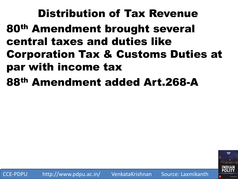Distribution of Tax Revenue 80th Amendment brought several central taxes and duties like Corporation Tax & Customs Duties at par with income tax

88th Amendment added Art.268-A

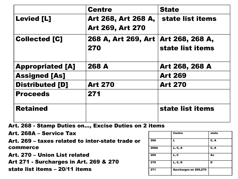|                         | <b>Centre</b>                                  | <b>State</b>                        |
|-------------------------|------------------------------------------------|-------------------------------------|
| <b>Levied [L]</b>       | Art 268, Art 268 A,<br><b>Art 269, Art 270</b> | state list items                    |
| <b>Collected [C]</b>    | 268 A, Art 269, Art<br>270                     | Art 268, 268 A,<br>state list items |
| <b>Appropriated [A]</b> | 268 A                                          | Art 268, 268 A                      |
| <b>Assigned [As]</b>    |                                                | <b>Art 269</b>                      |
| <b>Distributed [D]</b>  | <b>Art 270</b>                                 | <b>Art 270</b>                      |
| <b>Proceeds</b>         | 271                                            |                                     |
| <b>Retained</b>         |                                                | state list items                    |

Art. 268 - Stamp Duties on…, Excise Duties on 2 items

Art. 268A – Service Tax Art. 269 – taxes related to inter-state trade or commerce

Art. 270 – Union List related

Art 271 - Surcharges in Art. 269 & 270

state list items – 20/11 items

|             | <b>Centre</b>         | state |
|-------------|-----------------------|-------|
| 268         |                       | C, A  |
| <b>268A</b> | L, C, A               | C, A  |
| 269         | L, C                  | As    |
| 270         | <b>L, C, D</b>        | D     |
| 271         | Surcharges on 269,270 |       |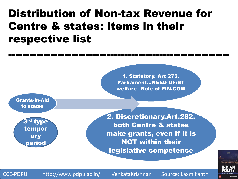# Distribution of Non-tax Revenue for Centre & states: items in their respective list



---------------------------------------------------------------

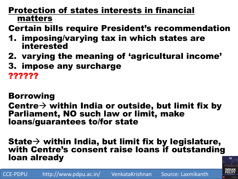### Protection of states interests in financial matters

- Certain bills require President's recommendation
- 1. imposing/varying tax in which states are interested
- 2. varying the meaning of 'agricultural income'
- 3. impose any surcharge

??????

### Borrowing

#### Centre  $\rightarrow$  within India or outside, but limit fix by Parliament, NO such law or limit, make loans/guarantees to/for state

#### State  $\rightarrow$  within India, but limit fix by legislature, with Centre's consent raise loans if outstanding loan already

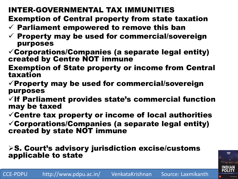## INTER-GOVERNMENTAL TAX IMMUNITIES

Exemption of Central property from state taxation

- $\checkmark$  Parliament empowered to remove this ban
- $\checkmark$  Property may be used for commercial/sovereign purposes
- $\checkmark$  Corporations/Companies (a separate legal entity) created by Centre NOT immune
- Exemption of State property or income from Central taxation
- $\checkmark$  Property may be used for commercial/sovereign purposes
- $\checkmark$  If Parliament provides state's commercial function may be taxed
- $\checkmark$  Centre tax property or income of local authorities
- $\checkmark$  Corporations/Companies (a separate legal entity) created by state NOT immune

#### $\triangleright$ S. Court's advisory jurisdiction excise/customs applicable to state

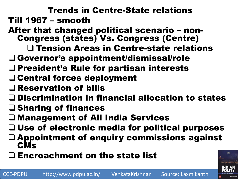Trends in Centre-State relations Till 1967 – smooth

- After that changed political scenario non-Congress (states) Vs. Congress (Centre)
	- Tension Areas in Centre-state relations
- Governor's appointment/dismissal/role
- $\Box$  President's Rule for partisan interests
- Central forces deployment
- Reservation of bills
- Discrimination in financial allocation to states
- $\square$  Sharing of finances
- Management of All India Services
- $\Box$  Use of electronic media for political purposes
- Appointment of enquiry commissions against **CMs**
- $\Box$  Encroachment on the state list

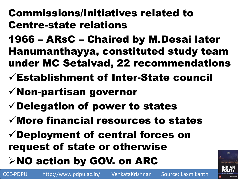# Commissions/Initiatives related to Centre-state relations

1966 – ARsC – Chaired by M.Desai later Hanumanthayya, constituted study team under MC Setalvad, 22 recommendations

- Establishment of Inter-State council
- Non-partisan governor
- $\checkmark$  Delegation of power to states
- $\checkmark$  More financial resources to states
- Deployment of central forces on request of state or otherwise
- **≻NO action by GOV. on ARC**

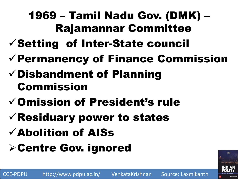# 1969 – Tamil Nadu Gov. (DMK) – Rajamannar Committee

- $\checkmark$  Setting of Inter-State council
- $\checkmark$  Permanency of Finance Commission
- $\checkmark$  Disbandment of Planning Commission
- Omission of President's rule
- $\checkmark$  Residuary power to states
- Abolition of AISs
- **> Centre Gov. ignored**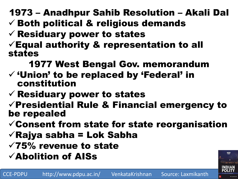1973 – Anadhpur Sahib Resolution – Akali Dal

- $\checkmark$  Both political & religious demands
- $\checkmark$  Residuary power to states
- $\checkmark$  Equal authority & representation to all states

1977 West Bengal Gov. memorandum

- $\checkmark$  'Union' to be replaced by 'Federal' in constitution
- $\checkmark$  Residuary power to states
- $\sqrt{P}$ residential Rule & Financial emergency to be repealed
- $\checkmark$  Consent from state for state reorganisation
- $\sqrt{}$ Rajya sabha = Lok Sabha
- $\sqrt{75\%}$  revenue to state
- $\checkmark$ Abolition of AISs

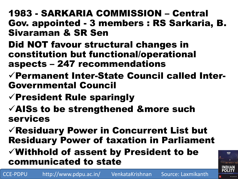## 1983 - SARKARIA COMMISSION – Central Gov. appointed - 3 members : RS Sarkaria, B. Sivaraman & SR Sen

- Did NOT favour structural changes in constitution but functional/operational aspects – 247 recommendations
- Permanent Inter-State Council called Inter-Governmental Council
- $\checkmark$  President Rule sparingly
- $\checkmark$  AISs to be strengthened &more such services
- Residuary Power in Concurrent List but Residuary Power of taxation in Parliament

## $\checkmark$  Withhold of assent by President to be communicated to state



FIFTH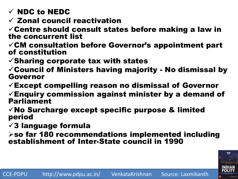- $\checkmark$  NDC to NEDC
- $\checkmark$  Zonal council reactivation

 $\checkmark$  Centre should consult states before making a law in the concurrent list

 $\checkmark$ CM consultation before Governor's appointment part of constitution

 $\checkmark$ Sharing corporate tax with states

 $\checkmark$  Council of Ministers having majority - No dismissal by Governor

 $\checkmark$  Except compelling reason no dismissal of Governor

 $\checkmark$  Enquiry commission against minister by a demand of Parliament

 $\checkmark$  No Surcharge except specific purpose & limited period

 $\sqrt{3}$  language formula

 $\triangleright$ so far 180 recommendations implemented including establishment of Inter-State council in 1990

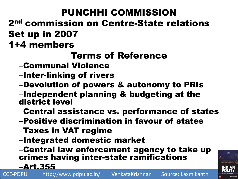# PUNCHHI COMMISSION

# 2nd commission on Centre-State relations Set up in 2007

# 1+4 members

# Terms of Reference

- –Communal Violence
- –Inter-linking of rivers
- –Devolution of powers & autonomy to PRIs
- –Independent planning & budgeting at the district level
- –Central assistance vs. performance of states
- –Positive discrimination in favour of states
- –Taxes in VAT regime
- –Integrated domestic market

–Central law enforcement agency to take up crimes having inter-state ramifications

–Art.355

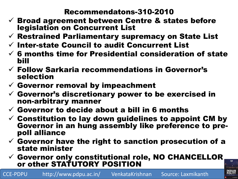#### Recommendatons-310-2010

- $\checkmark$  Broad agreement between Centre & states before legislation on Concurrent List
- $\checkmark$  Restrained Parliamentary supremacy on State List
- $\checkmark$  Inter-state Council to audit Concurrent List
- $\checkmark$  6 months time for Presidential consideration of state bill
- $\checkmark$  Follow Sarkaria recommendations in Governor's selection
- $\checkmark$  Governor removal by impeachment
- $\checkmark$  Governor's discretionary power to be exercised in non-arbitrary manner
- $\checkmark$  Governor to decide about a bill in 6 months
- $\checkmark$  Constitution to lay down guidelines to appoint CM by Governor in an hung assembly like preference to prepoll alliance
- $\checkmark$  Governor have the right to sanction prosecution of a state minister
- $\checkmark$  Governor only constitutional role, NO CHANCELLOR or other STATUTORY POSITION

CCE-PDPU http://www.pdpu.ac.in/ VenkataKrishnan Source: Laxmikanth

FIFTH

**INDIAN<br>POLITY**